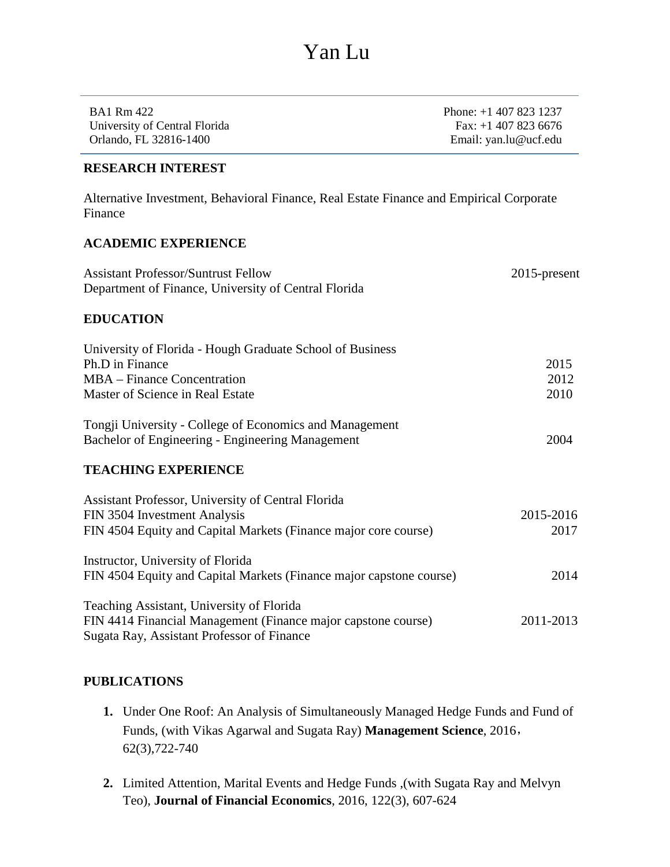| BA1 Rm 422                    | Phone: $+1$ 407 823 1237 |
|-------------------------------|--------------------------|
| University of Central Florida | Fax: $+1$ 407 823 6676   |
| Orlando, FL 32816-1400        | Email: yan.lu@ucf.edu    |

#### **RESEARCH INTEREST**

Alternative Investment, Behavioral Finance, Real Estate Finance and Empirical Corporate Finance

#### **ACADEMIC EXPERIENCE**

| <b>Assistant Professor/Suntrust Fellow</b><br>Department of Finance, University of Central Florida                                                       | $2015$ -present      |
|----------------------------------------------------------------------------------------------------------------------------------------------------------|----------------------|
| <b>EDUCATION</b>                                                                                                                                         |                      |
| University of Florida - Hough Graduate School of Business<br>Ph.D in Finance<br>MBA – Finance Concentration<br>Master of Science in Real Estate          | 2015<br>2012<br>2010 |
| Tongji University - College of Economics and Management<br>Bachelor of Engineering - Engineering Management                                              | 2004                 |
| <b>TEACHING EXPERIENCE</b>                                                                                                                               |                      |
| Assistant Professor, University of Central Florida<br>FIN 3504 Investment Analysis<br>FIN 4504 Equity and Capital Markets (Finance major core course)    | 2015-2016<br>2017    |
| Instructor, University of Florida<br>FIN 4504 Equity and Capital Markets (Finance major capstone course)                                                 | 2014                 |
| Teaching Assistant, University of Florida<br>FIN 4414 Financial Management (Finance major capstone course)<br>Sugata Ray, Assistant Professor of Finance | 2011-2013            |

#### **PUBLICATIONS**

- **1.** Under One Roof: An Analysis of Simultaneously Managed Hedge Funds and Fund of Funds, (with Vikas Agarwal and Sugata Ray) **Management Science**, 2016, 62(3),722-740
- **2.** Limited Attention, Marital Events and Hedge Funds ,(with Sugata Ray and Melvyn Teo), **Journal of Financial Economics**, 2016, 122(3), 607-624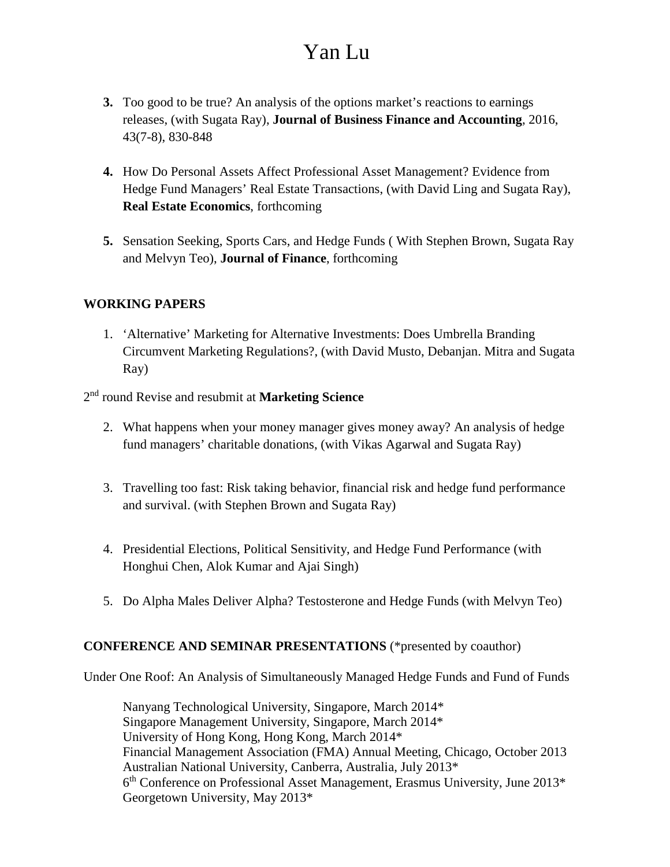- **3.** Too good to be true? An analysis of the options market's reactions to earnings releases, (with Sugata Ray), **Journal of Business Finance and Accounting**, 2016, 43(7-8), 830-848
- **4.** How Do Personal Assets Affect Professional Asset Management? Evidence from Hedge Fund Managers' Real Estate Transactions, (with David Ling and Sugata Ray), **Real Estate Economics**, forthcoming
- **5.** Sensation Seeking, Sports Cars, and Hedge Funds ( With Stephen Brown, Sugata Ray and Melvyn Teo), **Journal of Finance**, forthcoming

#### **WORKING PAPERS**

1. 'Alternative' Marketing for Alternative Investments: Does Umbrella Branding Circumvent Marketing Regulations?, (with David Musto, Debanjan. Mitra and Sugata Ray)

2nd round Revise and resubmit at **Marketing Science**

- 2. What happens when your money manager gives money away? An analysis of hedge fund managers' charitable donations, (with Vikas Agarwal and Sugata Ray)
- 3. Travelling too fast: Risk taking behavior, financial risk and hedge fund performance and survival. (with Stephen Brown and Sugata Ray)
- 4. Presidential Elections, Political Sensitivity, and Hedge Fund Performance (with Honghui Chen, Alok Kumar and Ajai Singh)
- 5. Do Alpha Males Deliver Alpha? Testosterone and Hedge Funds (with Melvyn Teo)

## **CONFERENCE AND SEMINAR PRESENTATIONS** (\*presented by coauthor)

Under One Roof: An Analysis of Simultaneously Managed Hedge Funds and Fund of Funds

Nanyang Technological University, Singapore, March 2014\* Singapore Management University, Singapore, March 2014\* University of Hong Kong, Hong Kong, March 2014\* Financial Management Association (FMA) Annual Meeting, Chicago, October 2013 Australian National University, Canberra, Australia, July 2013\* 6th Conference on Professional Asset Management, Erasmus University, June 2013\* Georgetown University, May 2013\*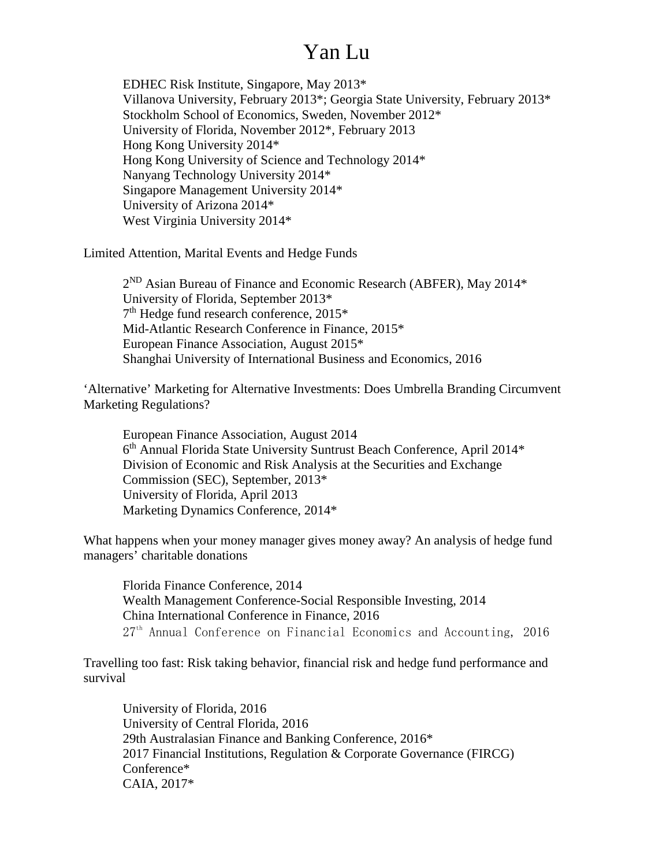EDHEC Risk Institute, Singapore, May 2013\* Villanova University, February 2013\*; Georgia State University, February 2013\* Stockholm School of Economics, Sweden, November 2012\* University of Florida, November 2012\*, February 2013 Hong Kong University 2014\* Hong Kong University of Science and Technology 2014\* Nanyang Technology University 2014\* Singapore Management University 2014\* University of Arizona 2014\* West Virginia University 2014\*

Limited Attention, Marital Events and Hedge Funds

 $2^{ND}$  Asian Bureau of Finance and Economic Research (ABFER), May  $2014*$ University of Florida, September 2013\* 7th Hedge fund research conference, 2015\* Mid-Atlantic Research Conference in Finance, 2015\* European Finance Association, August 2015\* Shanghai University of International Business and Economics, 2016

'Alternative' Marketing for Alternative Investments: Does Umbrella Branding Circumvent Marketing Regulations?

European Finance Association, August 2014 6th Annual Florida State University Suntrust Beach Conference, April 2014\* Division of Economic and Risk Analysis at the Securities and Exchange Commission (SEC), September, 2013\* University of Florida, April 2013 Marketing Dynamics Conference, 2014\*

What happens when your money manager gives money away? An analysis of hedge fund managers' charitable donations

Florida Finance Conference, 2014 Wealth Management Conference-Social Responsible Investing, 2014 China International Conference in Finance, 2016 27<sup>th</sup> Annual Conference on Financial Economics and Accounting, 2016

Travelling too fast: Risk taking behavior, financial risk and hedge fund performance and survival

University of Florida, 2016 University of Central Florida, 2016 29th Australasian Finance and Banking Conference, 2016\* 2017 Financial Institutions, Regulation & Corporate Governance (FIRCG) Conference\* CAIA, 2017\*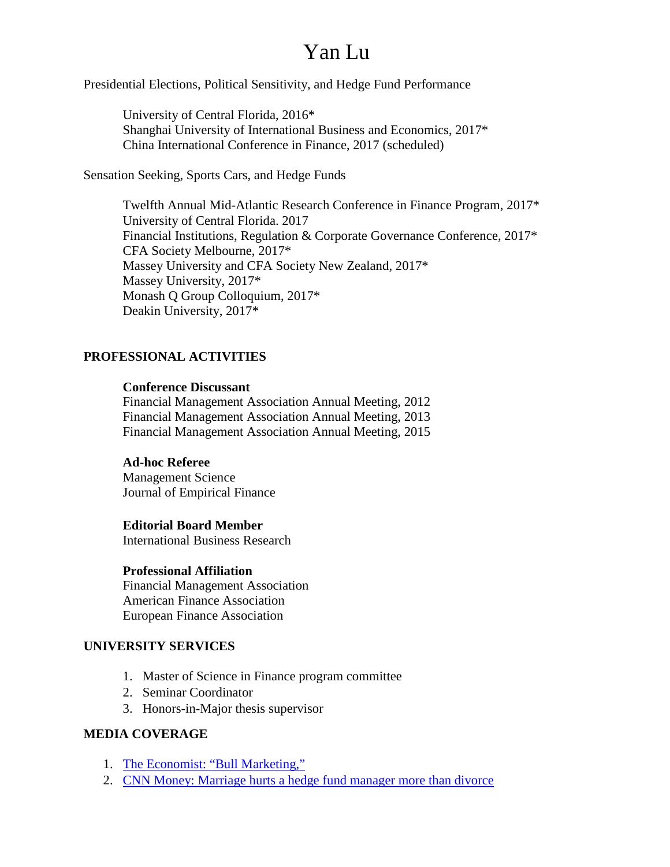Presidential Elections, Political Sensitivity, and Hedge Fund Performance

University of Central Florida, 2016\* Shanghai University of International Business and Economics, 2017\* China International Conference in Finance, 2017 (scheduled)

Sensation Seeking, Sports Cars, and Hedge Funds

Twelfth Annual Mid-Atlantic Research Conference in Finance Program, 2017\* University of Central Florida. 2017 Financial Institutions, Regulation & Corporate Governance Conference, 2017\* CFA Society Melbourne, 2017\* Massey University and CFA Society New Zealand, 2017\* Massey University, 2017\* Monash Q Group Colloquium, 2017\* Deakin University, 2017\*

#### **PROFESSIONAL ACTIVITIES**

#### **Conference Discussant**

Financial Management Association Annual Meeting, 2012 Financial Management Association Annual Meeting, 2013 Financial Management Association Annual Meeting, 2015

#### **Ad-hoc Referee**

Management Science Journal of Empirical Finance

#### **Editorial Board Member**

International Business Research

#### **Professional Affiliation**

Financial Management Association American Finance Association European Finance Association

#### **UNIVERSITY SERVICES**

- 1. Master of Science in Finance program committee
- 2. Seminar Coordinator
- 3. Honors-in-Major thesis supervisor

#### **MEDIA COVERAGE**

- 1. The Economist: ["Bull Marketing,"](http://media.economist.com/news/finance-and-economics/21579032-alternative-investment-firms-are-preparing-pitch-public-bull-marketing)
- 2. [CNN Money: Marriage hurts a hedge fund manager more than divorce](http://money.cnn.com/2015/02/27/investing/hedge-funds-marriage-divorce/index.html)